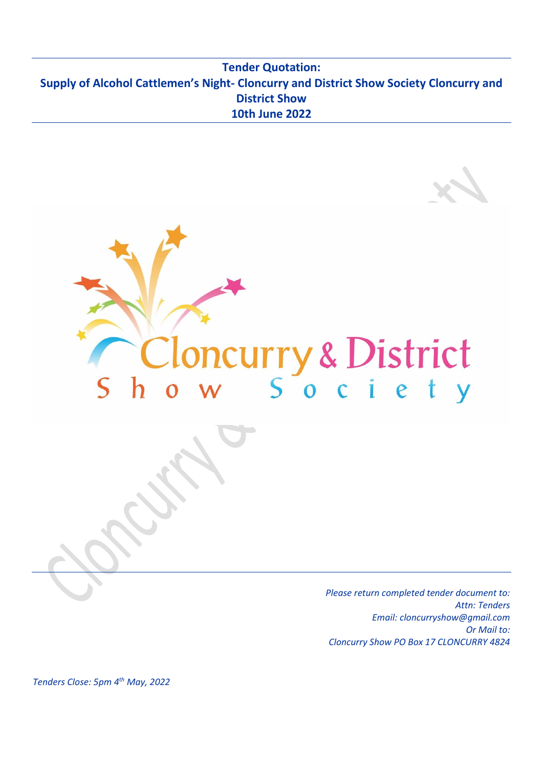## **Tender Quotation: Supply of Alcohol Cattlemen's Night- Cloncurry and District Show Society Cloncurry and District Show 10th June 2022**



*Please return completed tender document to: Attn: Tenders Email: cloncurryshow@gmail.com Or Mail to: Cloncurry Show PO Box 17 CLONCURRY 4824*

*Tenders Close: 5pm 4 th May, 2022*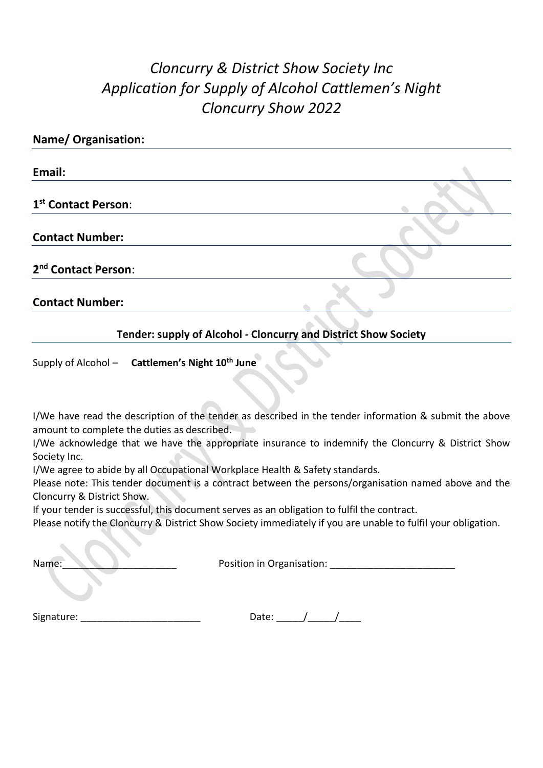# *Cloncurry & District Show Society Inc Application for Supply of Alcohol Cattlemen's Night Cloncurry Show 2022*

| <b>Name/ Organisation:</b>      |  |
|---------------------------------|--|
| Email:                          |  |
| 1 <sup>st</sup> Contact Person: |  |
| <b>Contact Number:</b>          |  |
| 2 <sup>nd</sup> Contact Person: |  |
| <b>Contact Number:</b>          |  |

### **Tender: supply of Alcohol - Cloncurry and District Show Society**

Supply of Alcohol – **Cattlemen's Night 10 th June**

I/We have read the description of the tender as described in the tender information & submit the above amount to complete the duties as described.

I/We acknowledge that we have the appropriate insurance to indemnify the Cloncurry & District Show Society Inc.

I/We agree to abide by all Occupational Workplace Health & Safety standards.

Please note: This tender document is a contract between the persons/organisation named above and the Cloncurry & District Show.

If your tender is successful, this document serves as an obligation to fulfil the contract.

Please notify the Cloncurry & District Show Society immediately if you are unable to fulfil your obligation.

Name: Name: 2008 and 2008 and 2008 and 2008 and 2012 and 2013 and 2013 and 2013 and 2013 and 2013 and 2013 and 2013 and 2013 and 2013 and 2013 and 2013 and 2013 and 2013 and 2013 and 2013 and 2013 and 2013 and 2013 and 201

Signature:  $\frac{1}{\sqrt{1-\frac{1}{2}}}\sqrt{1-\frac{1}{2}}$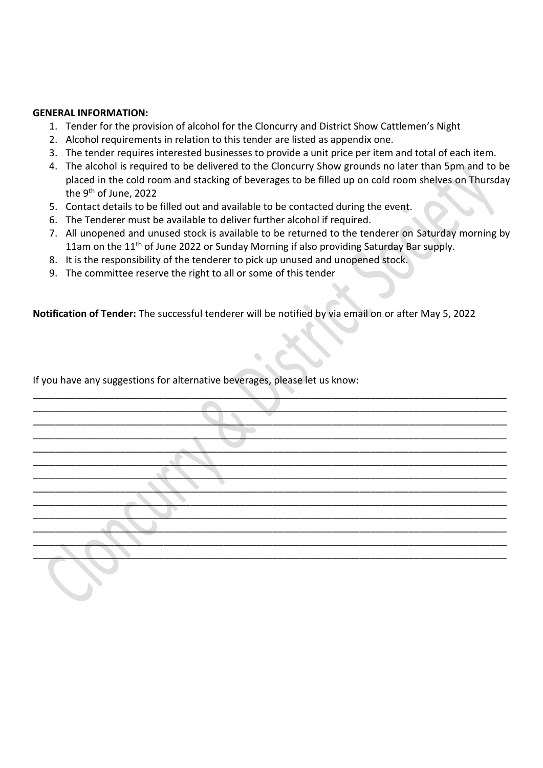#### **GENERAL INFORMATION:**

- 1. Tender for the provision of alcohol for the Cloncurry and District Show Cattlemen's Night
- 2. Alcohol requirements in relation to this tender are listed as appendix one.
- 3. The tender requires interested businesses to provide a unit price per item and total of each item.
- 4. The alcohol is required to be delivered to the Cloncurry Show grounds no later than 5pm and to be placed in the cold room and stacking of beverages to be filled up on cold room shelves on Thursday the 9<sup>th</sup> of June, 2022
- 5. Contact details to be filled out and available to be contacted during the event.
- 6. The Tenderer must be available to deliver further alcohol if required.
- 7. All unopened and unused stock is available to be returned to the tenderer on Saturday morning by 11am on the 11<sup>th</sup> of June 2022 or Sunday Morning if also providing Saturday Bar supply.
- 8. It is the responsibility of the tenderer to pick up unused and unopened stock.
- 9. The committee reserve the right to all or some of this tender

**Notification of Tender:** The successful tenderer will be notified by via email on or after May 5, 2022

If you have any suggestions for alternative beverages, please let us know:

| e v |
|-----|
|     |
|     |
|     |
|     |
|     |
|     |
|     |
|     |
|     |
|     |
|     |

\_\_\_\_\_\_\_\_\_\_\_\_\_\_\_\_\_\_\_\_\_\_\_\_\_\_\_\_\_\_\_\_\_\_\_\_\_\_\_\_\_\_\_\_\_\_\_\_\_\_\_\_\_\_\_\_\_\_\_\_\_\_\_\_\_\_\_\_\_\_\_\_\_\_\_\_\_\_\_\_\_\_\_\_\_\_\_